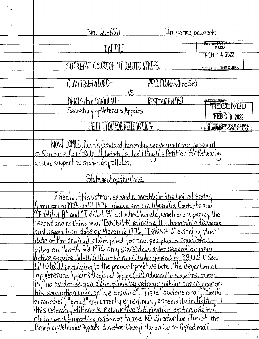| $N_{0}$ $21-6311$<br>In forma pauperis                                                                                                                                          |                             |  |
|---------------------------------------------------------------------------------------------------------------------------------------------------------------------------------|-----------------------------|--|
|                                                                                                                                                                                 | Supreme-Court, U.S.         |  |
|                                                                                                                                                                                 | <b>FILED</b><br>FEB 14 2022 |  |
|                                                                                                                                                                                 |                             |  |
| SUPREME COURT OF THE UNI                                                                                                                                                        | OFFICE OF THE CLERK         |  |
| TIONER (Pro Se)<br>CURTISRGAYLORD-                                                                                                                                              |                             |  |
| VS                                                                                                                                                                              |                             |  |
| DENISRM C DONOUGH-<br>RESPONDENT(S)                                                                                                                                             |                             |  |
| Secretary of Veterans Affairs                                                                                                                                                   | <b>RECEIVED</b>             |  |
|                                                                                                                                                                                 | <b>FEB 2 3 2022</b>         |  |
| <b>TION FOR REHEARTNG</b>                                                                                                                                                       | OFFICE OF THE CLERK         |  |
|                                                                                                                                                                                 |                             |  |
| NOW COMES, Curtis Gaylord, honorably served veterary pursuant<br>to Supreme Court Rule 44, hereby submitting his Petition for Rehearing<br>and in support of states as follows: |                             |  |
|                                                                                                                                                                                 |                             |  |
|                                                                                                                                                                                 |                             |  |
|                                                                                                                                                                                 |                             |  |
| Statement of the Case                                                                                                                                                           |                             |  |
|                                                                                                                                                                                 |                             |  |
| Briefly, this veteran served honorably in the United States<br>Army From 1974 until 1976 please see the Appendix Contents and                                                   |                             |  |
| "Exhibit A" and "Exhibit B" attached hereto, which are a partof the                                                                                                             |                             |  |
| record and nothing new. "ExhibitA" evincing the honorable discharge                                                                                                             |                             |  |
| $ $ and separation date of March $ b,$ 1976, "Exhibit B" evincing the                                                                                                           |                             |  |
| date of the original claim filed for the pes planus condition,                                                                                                                  |                             |  |
| Filed on March 22,1976 only six(6) days after separation prom                                                                                                                   |                             |  |
| detive service, Well within the one (1) year period of 38 U.S.C Sec.                                                                                                            |                             |  |
| 5110 (b) (1) pertaining to the proper Effective Date. The Department                                                                                                            |                             |  |
| of Veteran's Affairs Regional Office (RO) adamantly state that there                                                                                                            |                             |  |
| is," no evidence of a claim filed by veterary within one (1) year of                                                                                                            |                             |  |
| this separation from active service. This is obvious error "Clearly                                                                                                             |                             |  |
| lerroneous", "fraud" and utterly egregious, especially in lightof<br> this veteran, petitioner's exhaustive notification of the original                                        |                             |  |
|                                                                                                                                                                                 |                             |  |
| Claim and supporting evidence to the RO director fluey Turnet, the                                                                                                              |                             |  |
| Board of Veteran's Appeals director Chery Mason by certified mail                                                                                                               |                             |  |
|                                                                                                                                                                                 |                             |  |

 $\sim$   $\sim$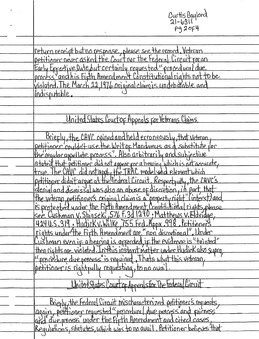return receipt but no response, please see the record. Veteran<br>petitioner never asked the Court nor the Federal Lircuit for an<br>Early Effective Date but certainly requested "procedural due<br>process "and his Fifth Amendment C indisputable.

Curtis Gaylord<br>21-6311

**Pg20F4** 

United States Court of Appeals for Veterans Claims

Briefly, the CAVC opined and held erroneously, that veteran,<br>petitioner couldn't use the Writ op Mandamus as a substitute for<br>the regular appellate process". Also arbitrarily and subjective<br>stated that petitioner did not a Briefly, the CAVC opined and held erroneously, that veteran,

United States Court of Appeals for The Federal Lircuit

Briefly, the Federal Circuit Mischaracterized petitioner's requests,<br>again, petitioner requested "procedural due process and pairness<br>and due process" under the first filmer dand cited cases,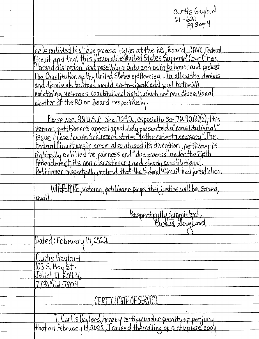| Curtis Gaylord<br>21-631<br>Pg 30F 4                                                                                                                                                                                                                                                                                                                                                                                                                                                                                 |
|----------------------------------------------------------------------------------------------------------------------------------------------------------------------------------------------------------------------------------------------------------------------------------------------------------------------------------------------------------------------------------------------------------------------------------------------------------------------------------------------------------------------|
| the is entitled his" due process" rights at the RO, Board, CAVC, Federal<br>Circuit and that this Honorable United States Supreme Court has<br>"broad discretion" and possibly a duty and oath to honor and protect<br>the Constitution of the United States of America. To allow the denials<br>and dismissals to stand would so-to-speak add fuel to the VA<br>violatining veterans constitutional right, which are non discretional<br>whether at the RO or Board respectively.                                   |
| Please see 38 U.S.C. Sec. 7292, especially sec. 7292(d)(2), this<br>"Veteran petitioner's appeal absolutely presented a constitutional"<br>Federal Circuit was in error also abused it's discretion, petitidner is<br>Eightfully entitled to fairness and "due process" under the firth<br>Amendment, its non discretionary and clearly constitutional<br>Petitioner respectfully contend that the Federal Circuit had jurisdiction.<br>WHITKE FORE, veteran, petitioner prays that justice will be served,<br>avail |
| Respectfully Submitted,<br>Dated: February 14, 2022<br>Curtis Gaylord                                                                                                                                                                                                                                                                                                                                                                                                                                                |
| 03 S. May 5t.<br>Joliet II 60436<br>73512-7909<br>CERTTFICHTE OF SERVICE                                                                                                                                                                                                                                                                                                                                                                                                                                             |
| I Curtis Gaylord, hereby certify under penalty of perfucy                                                                                                                                                                                                                                                                                                                                                                                                                                                            |